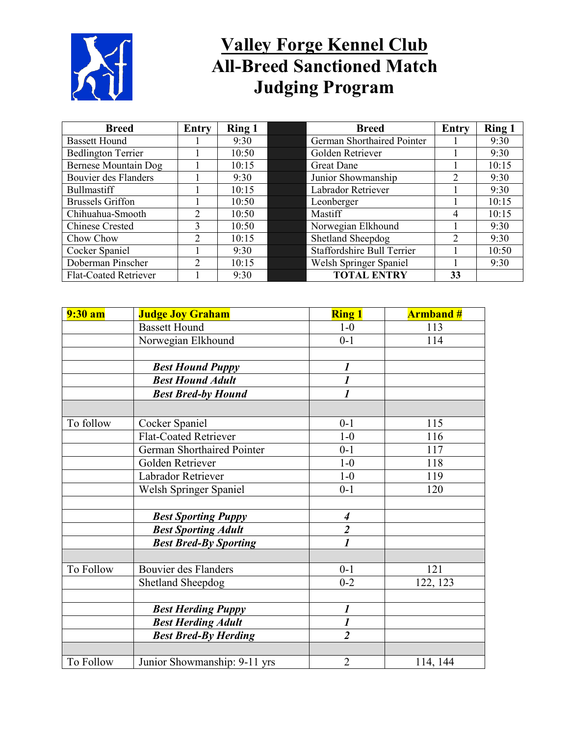

# **Valley Forge Kennel Club All-Breed Sanctioned Match Judging Program**

| <b>Breed</b>                 | Entry                       | <b>Ring 1</b> | <b>Breed</b>                      | <b>Entry</b> | <b>Ring 1</b> |
|------------------------------|-----------------------------|---------------|-----------------------------------|--------------|---------------|
| <b>Bassett Hound</b>         |                             | 9:30          | German Shorthaired Pointer        |              | 9:30          |
| <b>Bedlington Terrier</b>    |                             | 10:50         | Golden Retriever                  |              | 9:30          |
| <b>Bernese Mountain Dog</b>  |                             | 10:15         | <b>Great Dane</b>                 |              | 10:15         |
| Bouvier des Flanders         |                             | 9:30          | Junior Showmanship                | 2            | 9:30          |
| <b>Bullmastiff</b>           |                             | 10:15         | Labrador Retriever                |              | 9:30          |
| <b>Brussels Griffon</b>      |                             | 10:50         | Leonberger                        |              | 10:15         |
| Chihuahua-Smooth             | $\mathcal{D}_{\mathcal{L}}$ | 10:50         | Mastiff                           | 4            | 10:15         |
| <b>Chinese Crested</b>       | 3                           | 10:50         | Norwegian Elkhound                |              | 9:30          |
| Chow Chow                    | $\mathfrak{D}$              | 10:15         | Shetland Sheepdog                 | 2            | 9:30          |
| Cocker Spaniel               |                             | 9:30          | <b>Staffordshire Bull Terrier</b> |              | 10:50         |
| Doberman Pinscher            | $\mathcal{D}$               | 10:15         | Welsh Springer Spaniel            |              | 9:30          |
| <b>Flat-Coated Retriever</b> |                             | 9:30          | <b>TOTAL ENTRY</b>                | 33           |               |

| 9:30 am   | <b>Judge Joy Graham</b>      | <b>Ring 1</b>           | <b>Armband#</b> |
|-----------|------------------------------|-------------------------|-----------------|
|           | <b>Bassett Hound</b>         | $1-0$                   | 113             |
|           | Norwegian Elkhound           | $0 - 1$                 | 114             |
|           |                              |                         |                 |
|           | <b>Best Hound Puppy</b>      | $\boldsymbol{l}$        |                 |
|           | <b>Best Hound Adult</b>      | $\boldsymbol{l}$        |                 |
|           | <b>Best Bred-by Hound</b>    | $\overline{\mathit{1}}$ |                 |
|           |                              |                         |                 |
| To follow | Cocker Spaniel               | $0 - 1$                 | 115             |
|           | <b>Flat-Coated Retriever</b> | $1-0$                   | 116             |
|           | German Shorthaired Pointer   | $0 - 1$                 | 117             |
|           | Golden Retriever             | $1-0$                   | 118             |
|           | Labrador Retriever           | $1-0$                   | 119             |
|           | Welsh Springer Spaniel       | $0 - 1$                 | 120             |
|           |                              |                         |                 |
|           | <b>Best Sporting Puppy</b>   | $\boldsymbol{4}$        |                 |
|           | <b>Best Sporting Adult</b>   | $\frac{2}{I}$           |                 |
|           | <b>Best Bred-By Sporting</b> |                         |                 |
|           |                              |                         |                 |
| To Follow | Bouvier des Flanders         | $0 - 1$                 | 121             |
|           | Shetland Sheepdog            | $0 - 2$                 | 122, 123        |
|           |                              |                         |                 |
|           | <b>Best Herding Puppy</b>    | $\boldsymbol{l}$        |                 |
|           | <b>Best Herding Adult</b>    | $\boldsymbol{l}$        |                 |
|           | <b>Best Bred-By Herding</b>  | $\overline{2}$          |                 |
|           |                              |                         |                 |
| To Follow | Junior Showmanship: 9-11 yrs | $\overline{2}$          | 114, 144        |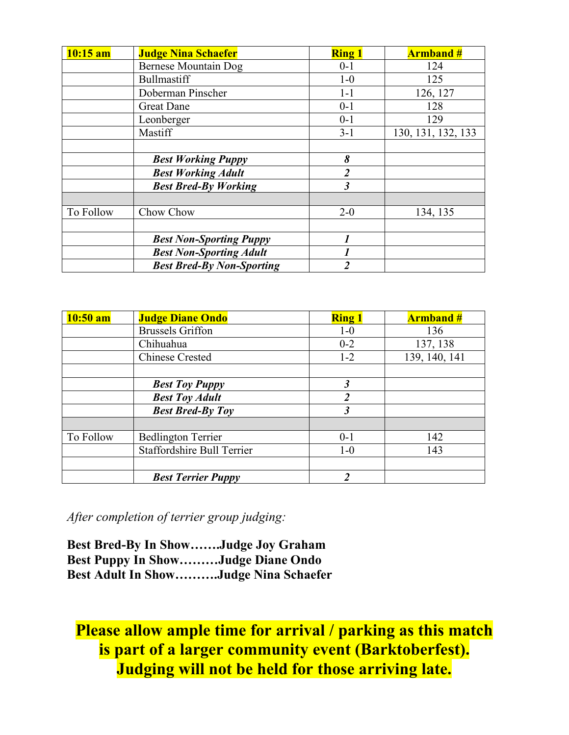| $10:15$ am | <b>Judge Nina Schaefer</b>       | <b>Ring 1</b>           | <b>Armband#</b>    |
|------------|----------------------------------|-------------------------|--------------------|
|            | Bernese Mountain Dog             | $0 - 1$                 | 124                |
|            | <b>Bullmastiff</b>               | $1-0$                   | 125                |
|            | Doberman Pinscher                | $1-1$                   | 126, 127           |
|            | <b>Great Dane</b>                | $0 - 1$                 | 128                |
|            | Leonberger                       | $0 - 1$                 | 129                |
|            | Mastiff                          | $3 - 1$                 | 130, 131, 132, 133 |
|            |                                  |                         |                    |
|            | <b>Best Working Puppy</b>        | 8                       |                    |
|            | <b>Best Working Adult</b>        | $\overline{2}$          |                    |
|            | <b>Best Bred-By Working</b>      | $\overline{\mathbf{3}}$ |                    |
|            |                                  |                         |                    |
| To Follow  | Chow Chow                        | $2 - 0$                 | 134, 135           |
|            |                                  |                         |                    |
|            | <b>Best Non-Sporting Puppy</b>   |                         |                    |
|            | <b>Best Non-Sporting Adult</b>   | 1                       |                    |
|            | <b>Best Bred-By Non-Sporting</b> | $\mathfrak{D}$          |                    |

| $10:50$ am | <b>Judge Diane Ondo</b>    | <b>Ring 1</b>        | <b>Armband#</b> |
|------------|----------------------------|----------------------|-----------------|
|            | <b>Brussels Griffon</b>    | $1-0$                | 136             |
|            | Chihuahua                  | $0 - 2$              | 137, 138        |
|            | <b>Chinese Crested</b>     | $1 - 2$              | 139, 140, 141   |
|            |                            |                      |                 |
|            | <b>Best Toy Puppy</b>      | $\boldsymbol{\beta}$ |                 |
|            | <b>Best Toy Adult</b>      | $\overline{2}$       |                 |
|            | <b>Best Bred-By Toy</b>    | $\mathfrak{Z}$       |                 |
|            |                            |                      |                 |
| To Follow  | <b>Bedlington Terrier</b>  | $0 - 1$              | 142             |
|            | Staffordshire Bull Terrier | $1-0$                | 143             |
|            |                            |                      |                 |
|            | <b>Best Terrier Puppy</b>  | $\mathfrak{D}$       |                 |

*After completion of terrier group judging:*

**Best Bred-By In Show…….Judge Joy Graham Best Puppy In Show………Judge Diane Ondo Best Adult In Show……….Judge Nina Schaefer**

# **Please allow ample time for arrival / parking as this match is part of a larger community event (Barktoberfest). Judging will not be held for those arriving late.**